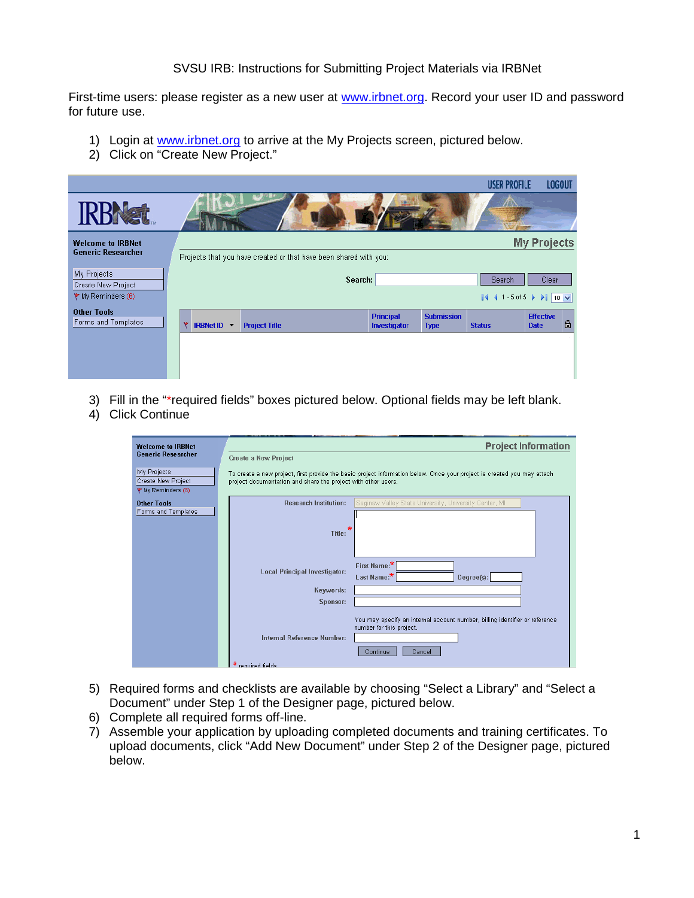## SVSU IRB: Instructions for Submitting Project Materials via IRBNet

First-time users: please register as a new user at [www.irbnet.org.](http://www.irbnet.org/) Record your user ID and password for future use.

- 1) Login at [www.irbnet.org](http://www.irbnet.org/) to arrive at the My Projects screen, pictured below.
- 2) Click on "Create New Project."

|                                           |                                                                   |                                  |                                  | <b>USER PROFILE</b> | <b>LOGOUT</b>                   |              |
|-------------------------------------------|-------------------------------------------------------------------|----------------------------------|----------------------------------|---------------------|---------------------------------|--------------|
|                                           |                                                                   |                                  |                                  |                     |                                 |              |
| <b>Welcome to IRBNet</b>                  |                                                                   |                                  |                                  |                     | <b>My Projects</b>              |              |
| <b>Generic Researcher</b>                 | Projects that you have created or that have been shared with you: |                                  |                                  |                     |                                 |              |
| My Projects<br>Create New Project         | Search:                                                           |                                  |                                  | Search              | Clear                           |              |
| $\Psi$ My Reminders (6)                   |                                                                   |                                  |                                  | $ 441.5$ of 5       | $\ $ 10 $\vee$                  |              |
| <b>Other Tools</b><br>Forms and Templates | <b>IRBNet ID</b> $\blacktriangledown$<br><b>Project Title</b>     | <b>Principal</b><br>Investigator | <b>Submission</b><br><b>Type</b> | <b>Status</b>       | <b>Effective</b><br><b>Date</b> | $\mathbf{r}$ |
|                                           |                                                                   |                                  |                                  |                     |                                 |              |
|                                           |                                                                   |                                  |                                  |                     |                                 |              |
|                                           |                                                                   |                                  |                                  |                     |                                 |              |

- 3) Fill in the "\*required fields" boxes pictured below. Optional fields may be left blank.
- 4) Click Continue

| <b>Welcome to IRBNet</b>                                |                                                               | <b>Project Information</b>                                                                                              |  |
|---------------------------------------------------------|---------------------------------------------------------------|-------------------------------------------------------------------------------------------------------------------------|--|
| <b>Generic Researcher</b>                               | <b>Create a New Project</b>                                   |                                                                                                                         |  |
| My Projects<br>Create New Project<br>♥ My Reminders (6) | project documentation and share the project with other users. | To create a new project, first provide the basic project information below. Once your project is created you may attach |  |
| <b>Other Tools</b>                                      | <b>Research Institution:</b>                                  | Saginaw Valley State University, University Center, MI                                                                  |  |
| Forms and Templates                                     |                                                               |                                                                                                                         |  |
|                                                         | Title:                                                        |                                                                                                                         |  |
|                                                         |                                                               |                                                                                                                         |  |
|                                                         |                                                               |                                                                                                                         |  |
|                                                         | <b>Local Principal Investigator:</b>                          | First Name:*<br>Last Name:*                                                                                             |  |
|                                                         | Keywords:                                                     | Degree(s):                                                                                                              |  |
|                                                         | Sponsor:                                                      |                                                                                                                         |  |
|                                                         |                                                               |                                                                                                                         |  |
|                                                         |                                                               | You may specify an internal account number, billing identifier or reference<br>number for this project.                 |  |
|                                                         | Internal Reference Number:                                    |                                                                                                                         |  |
|                                                         |                                                               | Continue<br>Cancel                                                                                                      |  |
|                                                         | phied fields                                                  |                                                                                                                         |  |

- 5) Required forms and checklists are available by choosing "Select a Library" and "Select a Document" under Step 1 of the Designer page, pictured below.
- 6) Complete all required forms off-line.
- 7) Assemble your application by uploading completed documents and training certificates. To upload documents, click "Add New Document" under Step 2 of the Designer page, pictured below.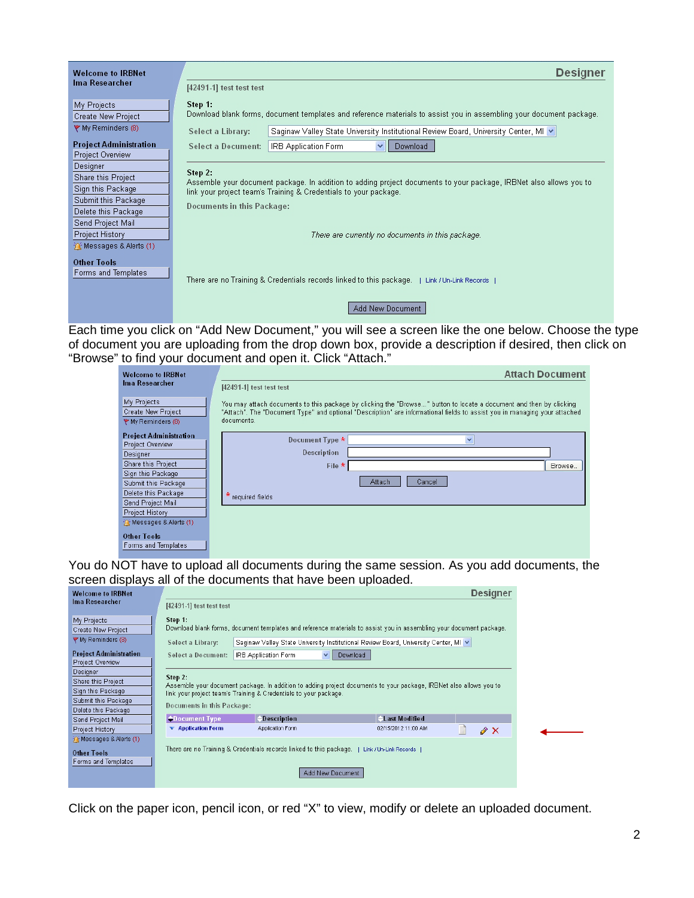| <b>Welcome to IRBNet</b>                          | <b>Designer</b>                                                                                                                                                                                                                 |  |  |
|---------------------------------------------------|---------------------------------------------------------------------------------------------------------------------------------------------------------------------------------------------------------------------------------|--|--|
| Ima Researcher                                    | [42491-1] test test test                                                                                                                                                                                                        |  |  |
| My Projects<br>Create New Project                 | Step 1:<br>Download blank forms, document templates and reference materials to assist you in assembling your document package.                                                                                                  |  |  |
| → My Reminders (8)                                | Saginaw Valley State University Institutional Review Board, University Center, MI ♥  <br>Select a Library:                                                                                                                      |  |  |
| <b>Project Administration</b><br>Project Overview | Download<br><b>Select a Document:</b><br>IRB Application Form<br>$\checkmark$                                                                                                                                                   |  |  |
| Designer<br>Share this Project                    | Step 2:<br>Assemble your document package. In addition to adding project documents to your package, IRBNet also allows you to<br>link your project team's Training & Credentials to your package.<br>Documents in this Package: |  |  |
| Sign this Package                                 |                                                                                                                                                                                                                                 |  |  |
| Submit this Package<br>Delete this Package        |                                                                                                                                                                                                                                 |  |  |
| Send Project Mail                                 |                                                                                                                                                                                                                                 |  |  |
| Project History                                   | There are currently no documents in this package.                                                                                                                                                                               |  |  |
| in Messages & Alerts (1)                          |                                                                                                                                                                                                                                 |  |  |
| <b>Other Tools</b><br>Forms and Templates         |                                                                                                                                                                                                                                 |  |  |
|                                                   | [ There are no Training & Credentials records linked to this package.   Link / Un-Link Records                                                                                                                                  |  |  |
|                                                   | Add New Document                                                                                                                                                                                                                |  |  |

Each time you click on "Add New Document," you will see a screen like the one below. Choose the type of document you are uploading from the drop down box, provide a description if desired, then click on "Browse" to find your document and open it. Click "Attach."

| <b>Welcome to IRBNet</b>      | <b>Attach Document</b>                                                                                                    |  |  |
|-------------------------------|---------------------------------------------------------------------------------------------------------------------------|--|--|
| Ima Researcher                | [42491-1] test test test                                                                                                  |  |  |
| My Projects                   | You may attach documents to this package by clicking the "Browse" button to locate a document and then by clicking        |  |  |
| Create New Project            | "Attach". The "Document Type" and optional "Description" are informational fields to assist you in managing your attached |  |  |
| ♥ My Reminders (8)            | documents.                                                                                                                |  |  |
| <b>Project Administration</b> | Document Type *                                                                                                           |  |  |
| Project Overview              |                                                                                                                           |  |  |
| Designer                      | Description                                                                                                               |  |  |
| Share this Project            | File $*$<br>Browse                                                                                                        |  |  |
| Sign this Package             |                                                                                                                           |  |  |
| Submit this Package           | Cancel<br>Attach                                                                                                          |  |  |
| Delete this Package           | * required fields                                                                                                         |  |  |
| Send Project Mail             |                                                                                                                           |  |  |
| <b>Project History</b>        |                                                                                                                           |  |  |
| in Messages & Alerts (1)      |                                                                                                                           |  |  |
| <b>Other Tools</b>            |                                                                                                                           |  |  |
| Forms and Templates           |                                                                                                                           |  |  |

You do NOT have to upload all documents during the same session. As you add documents, the screen displays all of the documents that have been uploaded.

| <b>Welcome to IRBNet</b>      |                                                                                                                                                                                                                                 |                                                                                              |                                                                                                                     | <b>Designer</b> |
|-------------------------------|---------------------------------------------------------------------------------------------------------------------------------------------------------------------------------------------------------------------------------|----------------------------------------------------------------------------------------------|---------------------------------------------------------------------------------------------------------------------|-----------------|
| Ima Researcher                | [42491-1] test test test                                                                                                                                                                                                        |                                                                                              |                                                                                                                     |                 |
| My Projects                   | Step 1:                                                                                                                                                                                                                         |                                                                                              |                                                                                                                     |                 |
| Create New Project            |                                                                                                                                                                                                                                 |                                                                                              | Download blank forms, document templates and reference materials to assist you in assembling your document package. |                 |
| ♥ My Reminders (8)            | Select a Library:                                                                                                                                                                                                               |                                                                                              | Saginaw Valley State University Institutional Review Board, University Center, MI v                                 |                 |
| <b>Project Administration</b> | Select a Document:                                                                                                                                                                                                              | <b>IRB Application Form</b><br>$\vee$                                                        | Download                                                                                                            |                 |
| Project Overview              |                                                                                                                                                                                                                                 |                                                                                              |                                                                                                                     |                 |
| <b>Designer</b>               |                                                                                                                                                                                                                                 |                                                                                              |                                                                                                                     |                 |
| Share this Project            | Step 2:<br>Assemble your document package. In addition to adding project documents to your package, IRBNet also allows you to<br>link your project team's Training & Credentials to your package.<br>Documents in this Package: |                                                                                              |                                                                                                                     |                 |
| Sign this Package             |                                                                                                                                                                                                                                 |                                                                                              |                                                                                                                     |                 |
| Submit this Package           |                                                                                                                                                                                                                                 |                                                                                              |                                                                                                                     |                 |
| Delete this Package           |                                                                                                                                                                                                                                 |                                                                                              |                                                                                                                     |                 |
| Send Project Mail             | <b>Oocument Type</b>                                                                                                                                                                                                            | <b>Description</b>                                                                           | <b>Last Modified</b>                                                                                                |                 |
| <b>Project History</b>        | $\blacktriangledown$ Application Form                                                                                                                                                                                           | Application Form                                                                             | 02/15/2012 11:00 AM                                                                                                 | $\mathcal{N}$   |
| in Messages & Alerts (1)      |                                                                                                                                                                                                                                 |                                                                                              |                                                                                                                     |                 |
| Other Tools                   |                                                                                                                                                                                                                                 | There are no Training & Credentials records linked to this package.   Link / Un-Link Records |                                                                                                                     |                 |
| Forms and Templates           |                                                                                                                                                                                                                                 |                                                                                              |                                                                                                                     |                 |
|                               |                                                                                                                                                                                                                                 |                                                                                              | Add New Document                                                                                                    |                 |
|                               |                                                                                                                                                                                                                                 |                                                                                              |                                                                                                                     |                 |

Click on the paper icon, pencil icon, or red "X" to view, modify or delete an uploaded document.